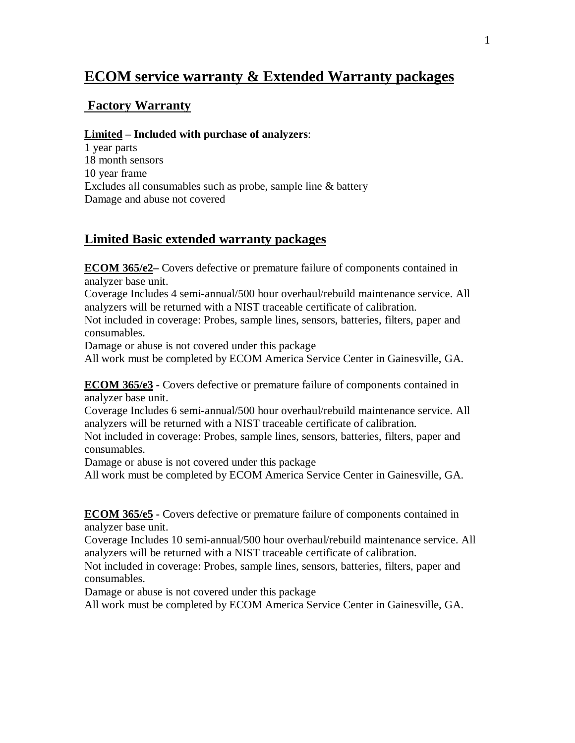# **ECOM service warranty & Extended Warranty packages**

# **Factory Warranty**

#### **Limited – Included with purchase of analyzers**:

1 year parts 18 month sensors 10 year frame Excludes all consumables such as probe, sample line & battery Damage and abuse not covered

### **Limited Basic extended warranty packages**

**ECOM 365/e2–** Covers defective or premature failure of components contained in analyzer base unit.

Coverage Includes 4 semi-annual/500 hour overhaul/rebuild maintenance service. All analyzers will be returned with a NIST traceable certificate of calibration.

Not included in coverage: Probes, sample lines, sensors, batteries, filters, paper and consumables.

Damage or abuse is not covered under this package

All work must be completed by ECOM America Service Center in Gainesville, GA.

**ECOM 365/e3 -** Covers defective or premature failure of components contained in analyzer base unit.

Coverage Includes 6 semi-annual/500 hour overhaul/rebuild maintenance service. All analyzers will be returned with a NIST traceable certificate of calibration.

Not included in coverage: Probes, sample lines, sensors, batteries, filters, paper and consumables.

Damage or abuse is not covered under this package

All work must be completed by ECOM America Service Center in Gainesville, GA.

**ECOM 365/e5 -** Covers defective or premature failure of components contained in analyzer base unit.

Coverage Includes 10 semi-annual/500 hour overhaul/rebuild maintenance service. All analyzers will be returned with a NIST traceable certificate of calibration.

Not included in coverage: Probes, sample lines, sensors, batteries, filters, paper and consumables.

Damage or abuse is not covered under this package

All work must be completed by ECOM America Service Center in Gainesville, GA.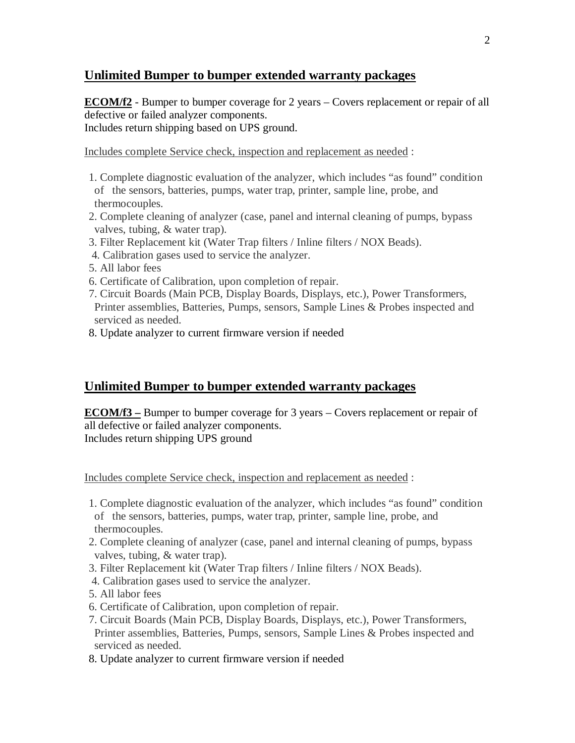### **Unlimited Bumper to bumper extended warranty packages**

**ECOM/f2** - Bumper to bumper coverage for 2 years – Covers replacement or repair of all defective or failed analyzer components. Includes return shipping based on UPS ground.

Includes complete Service check, inspection and replacement as needed :

- 1. Complete diagnostic evaluation of the analyzer, which includes "as found" condition of the sensors, batteries, pumps, water trap, printer, sample line, probe, and thermocouples.
- 2. Complete cleaning of analyzer (case, panel and internal cleaning of pumps, bypass valves, tubing, & water trap).
- 3. Filter Replacement kit (Water Trap filters / Inline filters / NOX Beads).
- 4. Calibration gases used to service the analyzer.
- 5. All labor fees
- 6. Certificate of Calibration, upon completion of repair.
- 7. Circuit Boards (Main PCB, Display Boards, Displays, etc.), Power Transformers, Printer assemblies, Batteries, Pumps, sensors, Sample Lines & Probes inspected and serviced as needed.
- 8. Update analyzer to current firmware version if needed

# **Unlimited Bumper to bumper extended warranty packages**

**ECOM/f3 –** Bumper to bumper coverage for 3 years – Covers replacement or repair of all defective or failed analyzer components. Includes return shipping UPS ground

Includes complete Service check, inspection and replacement as needed :

- 1. Complete diagnostic evaluation of the analyzer, which includes "as found" condition of the sensors, batteries, pumps, water trap, printer, sample line, probe, and thermocouples.
- 2. Complete cleaning of analyzer (case, panel and internal cleaning of pumps, bypass valves, tubing, & water trap).
- 3. Filter Replacement kit (Water Trap filters / Inline filters / NOX Beads).
- 4. Calibration gases used to service the analyzer.
- 5. All labor fees
- 6. Certificate of Calibration, upon completion of repair.
- 7. Circuit Boards (Main PCB, Display Boards, Displays, etc.), Power Transformers, Printer assemblies, Batteries, Pumps, sensors, Sample Lines & Probes inspected and serviced as needed.
- 8. Update analyzer to current firmware version if needed